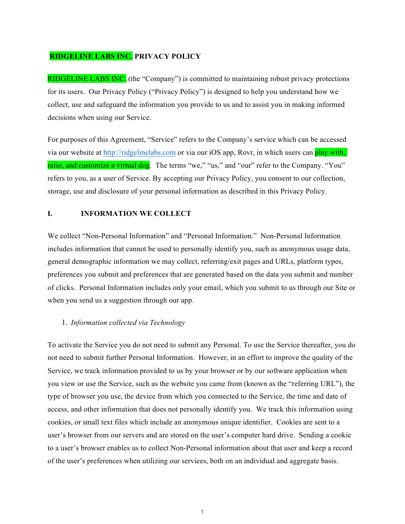# **RIDGELINE LABS INC. PRIVACY POLICY**

RIDGELINE LABS INC. (the "Company") is committed to maintaining robust privacy protections for its users. Our Privacy Policy ("Privacy Policy") is designed to help you understand how we collect, use and safeguard the information you provide to us and to assist you in making informed decisions when using our Service.

For purposes of this Agreement, "Service" refers to the Company's service which can be accessed via our website at http://ridgelinelabs.com or via our iOS app, Rovr, in which users can play with, raise, and customize a virtual dog. The terms "we," "us," and "our" refer to the Company. "You" refers to you, as a user of Service. By accepting our Privacy Policy, you consent to our collection, storage, use and disclosure of your personal information as described in this Privacy Policy.

# **I. INFORMATION WE COLLECT**

We collect "Non-Personal Information" and "Personal Information." Non-Personal Information includes information that cannot be used to personally identify you, such as anonymous usage data, general demographic information we may collect, referring/exit pages and URLs, platform types, preferences you submit and preferences that are generated based on the data you submit and number of clicks. Personal Information includes only your email, which you submit to us through our Site or when you send us a suggestion through our app.

# 1. *Information collected via Technology*

To activate the Service you do not need to submit any Personal. To use the Service thereafter, you do not need to submit further Personal Information. However, in an effort to improve the quality of the Service, we track information provided to us by your browser or by our software application when you view or use the Service, such as the website you came from (known as the "referring URL"), the type of browser you use, the device from which you connected to the Service, the time and date of access, and other information that does not personally identify you. We track this information using cookies, or small text files which include an anonymous unique identifier. Cookies are sent to a user's browser from our servers and are stored on the user's computer hard drive. Sending a cookie to a user's browser enables us to collect Non-Personal information about that user and keep a record of the user's preferences when utilizing our services, both on an individual and aggregate basis.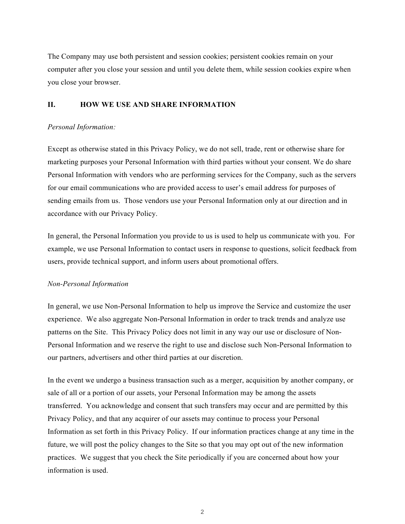The Company may use both persistent and session cookies; persistent cookies remain on your computer after you close your session and until you delete them, while session cookies expire when you close your browser.

#### **II. HOW WE USE AND SHARE INFORMATION**

#### *Personal Information:*

Except as otherwise stated in this Privacy Policy, we do not sell, trade, rent or otherwise share for marketing purposes your Personal Information with third parties without your consent. We do share Personal Information with vendors who are performing services for the Company, such as the servers for our email communications who are provided access to user's email address for purposes of sending emails from us. Those vendors use your Personal Information only at our direction and in accordance with our Privacy Policy.

In general, the Personal Information you provide to us is used to help us communicate with you. For example, we use Personal Information to contact users in response to questions, solicit feedback from users, provide technical support, and inform users about promotional offers.

# *Non-Personal Information*

In general, we use Non-Personal Information to help us improve the Service and customize the user experience. We also aggregate Non-Personal Information in order to track trends and analyze use patterns on the Site. This Privacy Policy does not limit in any way our use or disclosure of Non-Personal Information and we reserve the right to use and disclose such Non-Personal Information to our partners, advertisers and other third parties at our discretion.

In the event we undergo a business transaction such as a merger, acquisition by another company, or sale of all or a portion of our assets, your Personal Information may be among the assets transferred. You acknowledge and consent that such transfers may occur and are permitted by this Privacy Policy, and that any acquirer of our assets may continue to process your Personal Information as set forth in this Privacy Policy. If our information practices change at any time in the future, we will post the policy changes to the Site so that you may opt out of the new information practices. We suggest that you check the Site periodically if you are concerned about how your information is used.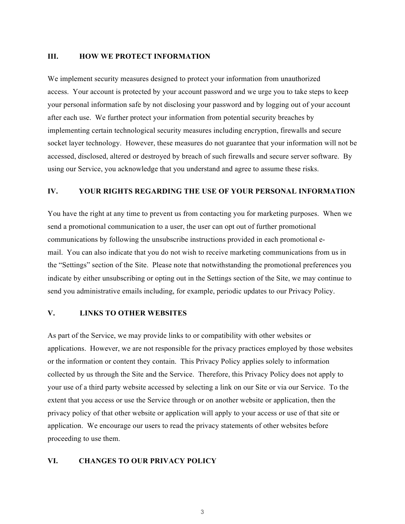#### **III. HOW WE PROTECT INFORMATION**

We implement security measures designed to protect your information from unauthorized access. Your account is protected by your account password and we urge you to take steps to keep your personal information safe by not disclosing your password and by logging out of your account after each use. We further protect your information from potential security breaches by implementing certain technological security measures including encryption, firewalls and secure socket layer technology. However, these measures do not guarantee that your information will not be accessed, disclosed, altered or destroyed by breach of such firewalls and secure server software. By using our Service, you acknowledge that you understand and agree to assume these risks.

#### **IV. YOUR RIGHTS REGARDING THE USE OF YOUR PERSONAL INFORMATION**

You have the right at any time to prevent us from contacting you for marketing purposes. When we send a promotional communication to a user, the user can opt out of further promotional communications by following the unsubscribe instructions provided in each promotional email. You can also indicate that you do not wish to receive marketing communications from us in the "Settings" section of the Site. Please note that notwithstanding the promotional preferences you indicate by either unsubscribing or opting out in the Settings section of the Site, we may continue to send you administrative emails including, for example, periodic updates to our Privacy Policy.

#### **V. LINKS TO OTHER WEBSITES**

As part of the Service, we may provide links to or compatibility with other websites or applications. However, we are not responsible for the privacy practices employed by those websites or the information or content they contain. This Privacy Policy applies solely to information collected by us through the Site and the Service. Therefore, this Privacy Policy does not apply to your use of a third party website accessed by selecting a link on our Site or via our Service. To the extent that you access or use the Service through or on another website or application, then the privacy policy of that other website or application will apply to your access or use of that site or application. We encourage our users to read the privacy statements of other websites before proceeding to use them.

#### **VI. CHANGES TO OUR PRIVACY POLICY**

3